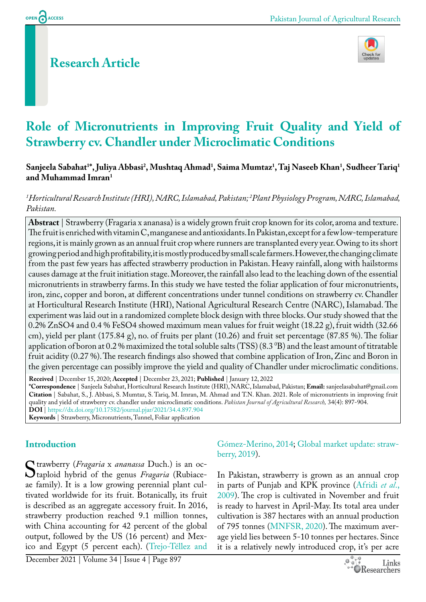## **Research Article**



# **Role of Micronutrients in Improving Fruit Quality and Yield of Strawberry cv. Chandler under Microclimatic Conditions**

#### $\bf{S}$ anjeela Sabahat<sup>1</sup>\*, Juliya Abbasi<sup>2</sup>, Mushtaq Ahmad<sup>1</sup>, Saima Mumtaz<sup>1</sup>, Taj Naseeb Khan<sup>1</sup>, Sudheer Tariq<sup>1</sup> **and Muhammad Imran1**

#### *1 Horticultural Research Institute (HRI), NARC, Islamabad, Pakistan; 2 Plant Physiology Program, NARC, Islamabad, Pakistan.*

**Abstract** | Strawberry (Fragaria x ananasa) is a widely grown fruit crop known for its color, aroma and texture. The fruit is enriched with vitamin C, manganese and antioxidants. In Pakistan, except for a few low-temperature regions, it is mainly grown as an annual fruit crop where runners are transplanted every year. Owing to its short growing period and high profitability, it is mostly produced by small scale farmers. However, the changing climate from the past few years has affected strawberry production in Pakistan. Heavy rainfall, along with hailstorms causes damage at the fruit initiation stage. Moreover, the rainfall also lead to the leaching down of the essential micronutrients in strawberry farms. In this study we have tested the foliar application of four micronutrients, iron, zinc, copper and boron, at different concentrations under tunnel conditions on strawberry cv. Chandler at Horticultural Research Institute (HRI), National Agricultural Research Centre (NARC), Islamabad. The experiment was laid out in a randomized complete block design with three blocks. Our study showed that the 0.2% ZnSO4 and 0.4 % FeSO4 showed maximum mean values for fruit weight (18.22 g), fruit width (32.66 cm), yield per plant (175.84 g), no. of fruits per plant (10.26) and fruit set percentage (87.85 %). The foliar application of boron at 0.2 % maximized the total soluble salts (TSS) (8.3  $\rm ^0B$ ) and the least amount of titratable fruit acidity (0.27 %). The research findings also showed that combine application of Iron, Zinc and Boron in the given percentage can possibly improve the yield and quality of Chandler under microclimatic conditions.

**Received** | December 15, 2020; **Accepted** | December 23, 2021; **Published** | January 12, 2022 **\*Correspondence** | Sanjeela Sabahat, Horticultural Research Institute (HRI), NARC, Islamabad, Pakistan; **Email:** sanjeelasabahat@gmail.com **Citation** | Sabahat, S., J. Abbasi, S. Mumtaz, S. Tariq, M. Imran, M. Ahmad and T.N. Khan. 2021. Role of micronutrients in improving fruit quality and yield of strawberry cv. chandler under microclimatic conditions. *Pakistan Journal of Agricultural Research,* 34(4): 897-904. **DOI** | <https://dx.doi.org/10.17582/journal.pjar/2021/34.4.897.904> **Keywords** | Strawberry, Micronutrients, Tunnel, Foliar application

#### **Introduction**

Strawberry (*Fragaria x ananassa* Duch.) is an oc-<br>
Staploid hybrid of the genus *Fragaria* (Rubiace-<br>
ae family). It is a low growing perennial plant cultaploid hybrid of the genus *Fragaria* (Rubiaceae family). It is a low growing perennial plant cultivated worldwide for its fruit. Botanically, its fruit is described as an aggregate accessory fruit. In 2016, strawberry production reached 9.1 million tonnes, with China accounting for 42 percent of the global output, followed by the US (16 percent) and Mexico and Egypt (5 percent each). (Trejo-Téllez and

Gómez-Merino, 2014; [Global market update: straw](#page-6-0)[berry, 2019\)](#page-6-0).

In Pakistan, strawberry is grown as an annual crop in parts of Punjab and KPK province ([Afridi](#page-5-0) *et al*., [2009\)](#page-5-0). The crop is cultivated in November and fruit is ready to harvest in April-May. Its total area under cultivation is 387 hectares with an annual production of 795 tonnes ([MNFSR, 2020\)](#page-6-1). The maximum average yield lies between 5-10 tonnes per hectares. Since it is a relatively newly introduced crop, it's per acre

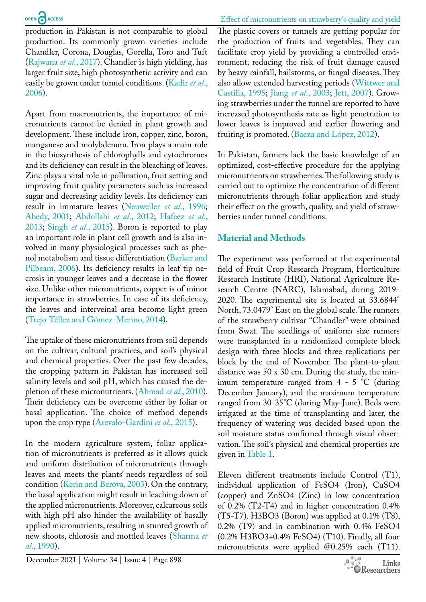Effect of micronutrients on strawberry's quality and yield

production in Pakistan is not comparable to global production. Its commonly grown varieties include Chandler, Corona, Douglas, Gorella, Toro and Tuft [\(Rajwana](#page-6-2) *et al*., 2017). Chandler is high yielding, has larger fruit size, high photosynthetic activity and can easily be grown under tunnel conditions. [\(Kadir](#page-6-3) *et al*., [2006](#page-6-3)).

Apart from macronutrients, the importance of micronutrients cannot be denied in plant growth and development. These include iron, copper, zinc, boron, manganese and molybdenum. Iron plays a main role in the biosynthesis of chlorophylls and cytochromes and its deficiency can result in the bleaching of leaves. Zinc plays a vital role in pollination, fruit setting and improving fruit quality parameters such as increased sugar and decreasing acidity levels. Its deficiency can result in immature leaves [\(Neuweiler](#page-6-4) *et al*., 1996; [Abedy, 2001](#page-5-1); [Abdollahi](#page-5-2) *et al*., 2012; [Hafeez](#page-6-0) *et al*., [2013](#page-6-0); Singh *et al*[., 2015\)](#page-7-0). Boron is reported to play an important role in plant cell growth and is also involved in many physiological processes such as phenol metabolism and tissue differentiation [\(Barker and](#page-5-3)  [Pilbeam, 2006\)](#page-5-3). Its deficiency results in leaf tip necrosis in younger leaves and a decrease in the flower size. Unlike other micronutrients, copper is of minor importance in strawberries. In case of its deficiency, the leaves and interveinal area become light green (Trejo-Téllez and Gómez-Merino, 2014).

The uptake of these micronutrients from soil depends on the cultivar, cultural practices, and soil's physical and chemical properties. Over the past few decades, the cropping pattern in Pakistan has increased soil salinity levels and soil pH, which has caused the depletion of these micronutrients. ([Ahmad](#page-5-4) *et al*., 2010). Their deficiency can be overcome either by foliar or basal application. The choice of method depends upon the crop type (Arevalo-Gardini *et al*., 2015).

In the modern agriculture system, foliar application of micronutrients is preferred as it allows quick and uniform distribution of micronutrients through leaves and meets the plants' needs regardless of soil condition [\(Kerin and Berova, 2003\)](#page-6-5). On the contrary, the basal application might result in leaching down of the applied micronutrients. Moreover, calcareous soils with high pH also hinder the availability of basally applied micronutrients, resulting in stunted growth of new shoots, chlorosis and mottled leaves ([Sharma](#page-6-6) *et al*[., 1990](#page-6-6)).

The plastic covers or tunnels are getting popular for the production of fruits and vegetables. They can facilitate crop yield by providing a controlled environment, reducing the risk of fruit damage caused by heavy rainfall, hailstorms, or fungal diseases. They also allow extended harvesting periods ([Wittwer and](#page-7-1)  [Castilla, 1995](#page-7-1); Jiang *et al*[., 2003](#page-6-7); [Jett, 2007](#page-6-8)). Growing strawberries under the tunnel are reported to have increased photosynthesis rate as light penetration to lower leaves is improved and earlier flowering and fruiting is promoted. (Baeza and López, 2012).

In Pakistan, farmers lack the basic knowledge of an optimized, cost-effective procedure for the applying micronutrients on strawberries. The following study is carried out to optimize the concentration of different micronutrients through foliar application and study their effect on the growth, quality, and yield of strawberries under tunnel conditions.

#### **Material and Methods**

The experiment was performed at the experimental field of Fruit Crop Research Program, Horticulture Research Institute (HRI), National Agriculture Research Centre (NARC), Islamabad, during 2019- 2020. The experimental site is located at 33.6844° North, 73.0479° East on the global scale. The runners of the strawberry cultivar "Chandler" were obtained from Swat. The seedlings of uniform size runners were transplanted in a randomized complete block design with three blocks and three replications per block by the end of November. The plant-to-plant distance was 50 x 30 cm. During the study, the minimum temperature ranged from 4 - 5 °C (during December-January), and the maximum temperature ranged from 30-35°C (during May-June). Beds were irrigated at the time of transplanting and later, the frequency of watering was decided based upon the soil moisture status confirmed through visual observation. The soil's physical and chemical properties are given in [Table 1.](#page-2-0)

Eleven different treatments include Control (T1), individual application of FeSO4 (Iron), CuSO4 (copper) and ZnSO4 (Zinc) in low concentration of 0.2% (T2-T4) and in higher concentration 0.4% (T5-T7). H3BO3 (Boron) was applied at 0.1% (T8), 0.2% (T9) and in combination with 0.4% FeSO4 (0.2% H3BO3+0.4% FeSO4) (T10). Finally, all four micronutrients were applied @0.25% each (T11).

December 2021 | Volume 34 | Issue 4 | Page 898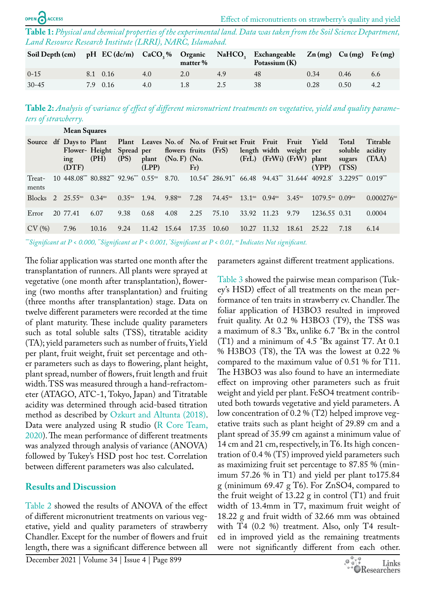<span id="page-2-0"></span>**Table 1:** *Physical and chemical properties of the experimental land. Data was taken from the Soil Science Department, Land Resource Research Institute (LRRI), NARC, Islamabad.*

| Soil Depth (cm) pH EC (dc/m) CaCO <sub>3</sub> % Organic NaHCO <sub>3</sub> Exchangeable Zn (mg) Cu (mg) Fe (mg) |          |     | matter % | Potassium $(K)$ |      |      |     |
|------------------------------------------------------------------------------------------------------------------|----------|-----|----------|-----------------|------|------|-----|
| $0 - 15$                                                                                                         | 8.1 0.16 | 4.0 | 2.0      | 48              | 0.34 | 0.46 | 6.6 |
| $30 - 45$                                                                                                        | 7.9 0.16 | 4.0 |          | 38              | 0.28 | 0.50 |     |

<span id="page-2-1"></span>**Table 2:** *Analysis of variance of effect of different micronutrient treatments on vegetative, yield and quality parameters of strawberry.*

|                 | <b>Mean Squares</b>                     |                                                                                                                          |             |                |                                        |       |                                                  |                    |                                          |                     |                                  |                                     |                              |
|-----------------|-----------------------------------------|--------------------------------------------------------------------------------------------------------------------------|-------------|----------------|----------------------------------------|-------|--------------------------------------------------|--------------------|------------------------------------------|---------------------|----------------------------------|-------------------------------------|------------------------------|
|                 | Source df Days to Plant<br>ing<br>(DTF) | Flower- Height Spread per<br>(PH)                                                                                        | (PS)        | plant<br>(LPP) | flowers fruits (FrS)<br>$(No. F)$ (No. | Fr)   | Plant Leaves No. of No. of Fruit set Fruit Fruit |                    | length width<br>(FrL) (FrWi) (FrW) plant | Fruit<br>weight per | <b>Yield</b><br>(YPP)            | Total<br>soluble<br>sugars<br>(TSS) | Titrable<br>acidity<br>(TAA) |
| Treat-<br>ments |                                         | $10,448.08$ $80.882$ $92.96$ $0.55$ $8.70$ $10.54$ $286.91$ $66.48$ $94.43$ $31.644$ $4092.8$ $3.2295$ $0.019$ $(0.019)$ |             |                |                                        |       |                                                  |                    |                                          |                     |                                  |                                     |                              |
| <b>Blocks</b>   | 2. 25.55 <sup>ns</sup>                  | $0.34^{ns}$                                                                                                              | $0.35^{ns}$ | 1.94.          | $9.88^{ns}$                            | 7.28  | $74.45^{\text{ns}}$                              | 13.1 <sup>ns</sup> | $0.94^{ns}$                              | $3.45^{ns}$         | $1079.5^{ns}$ 0.09 <sup>ns</sup> |                                     | $0.000276$ <sup>ns</sup>     |
| Error           | 20 77.41                                | 6.07                                                                                                                     | 9.38        | 0.68           | 4.08                                   | 2.25  | 75.10                                            | 33.92 11.23        |                                          | 9.79                | 1236.55 0.31                     |                                     | 0.0004                       |
| CV(%)           | 7.96                                    | 10.16                                                                                                                    | 9.24        | 11.42          | 15.64                                  | 17.35 | 10.60                                            | 10.27              | $-11.32$                                 | 18.61               | 25.22                            | 7.18                                | 6.14                         |

*\*\*\*Significant at P < 0.000, \*\*Significant at P < 0.001, \* Significant at P < 0.01, ns Indicates Not significant.*

The foliar application was started one month after the transplantation of runners. All plants were sprayed at vegetative (one month after transplantation), flowering (two months after transplantation) and fruiting (three months after transplantation) stage. Data on twelve different parameters were recorded at the time of plant maturity. These include quality parameters such as total soluble salts (TSS), titratable acidity (TA); yield parameters such as number of fruits, Yield per plant, fruit weight, fruit set percentage and other parameters such as days to flowering, plant height, plant spread, number of flowers, fruit length and fruit width. TSS was measured through a hand-refractometer (ATAGO, ATC-1, Tokyo, Japan) and Titratable acidity was determined through acid-based titration method as described by [Ozkurt and Altunta \(2018\).](#page-6-9) Data were analyzed using R studio [\(R Core Team,](#page-6-10)  [2020](#page-6-10)). The mean performance of different treatments was analyzed through analysis of variance (ANOVA) followed by Tukey's HSD post hoc test. Correlation between different parameters was also calculated**.**

#### **Results and Discussion**

[Table 2](#page-2-1) showed the results of ANOVA of the effect of different micronutrient treatments on various vegetative, yield and quality parameters of strawberry Chandler. Except for the number of flowers and fruit length, there was a significant difference between all

December 2021 | Volume 34 | Issue 4 | Page 899

parameters against different treatment applications.

[Table 3](#page-3-0) showed the pairwise mean comparison (Tukey's HSD) effect of all treatments on the mean performance of ten traits in strawberry cv. Chandler. The foliar application of H3BO3 resulted in improved fruit quality. At 0.2 % H3BO3 (T9), the TSS was a maximum of 8.3 °Bx, unlike 6.7 °Bx in the control (T1) and a minimum of 4.5 °Bx against T7. At 0.1 % H3BO3 (T8), the TA was the lowest at 0.22 % compared to the maximum value of 0.51 % for T11. The H3BO3 was also found to have an intermediate effect on improving other parameters such as fruit weight and yield per plant. FeSO4 treatment contributed both towards vegetative and yield parameters. A low concentration of 0.2 % (T2) helped improve vegetative traits such as plant height of 29.89 cm and a plant spread of 35.99 cm against a minimum value of 14 cm and 21 cm, respectively, in T6. Its high concentration of 0.4 % (T5) improved yield parameters such as maximizing fruit set percentage to 87.85 % (minimum 57.26 % in T1) and yield per plant to175.84 g (minimum 69.47 g T6). For ZnSO4, compared to the fruit weight of 13.22 g in control (T1) and fruit width of 13.4mm in T7, maximum fruit weight of 18.22 g and fruit width of 32.66 mm was obtained with T4 (0.2 %) treatment. Also, only T4 resulted in improved yield as the remaining treatments were not significantly different from each other.

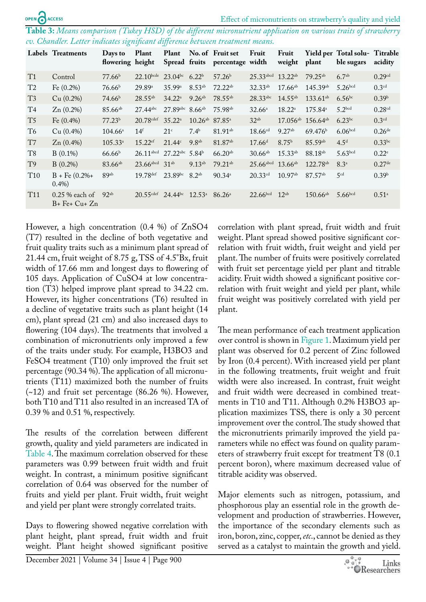<span id="page-3-0"></span>**Table 3:** *Means comparison (Tukey HSD) of the different micronutrient application on various traits of strawberry cv. Chandler. Letter indicates significant difference between treatment means.*

|                 | Labels Treatments                | Days to<br>flowering height | Plant                   | Plant                           |                                 | No. of Fruit set<br>Spread fruits percentage width | Fruit                   | Fruit<br>weight   | plant                              | Yield per Total solu- Titrable<br>ble sugars | acidity              |
|-----------------|----------------------------------|-----------------------------|-------------------------|---------------------------------|---------------------------------|----------------------------------------------------|-------------------------|-------------------|------------------------------------|----------------------------------------------|----------------------|
| T1              | Control                          | 77.66 <sup>b</sup>          | $22.10$ bcde            | $23.04^{bc}$                    | $6.22^{b}$                      | 57.26 <sup>b</sup>                                 | 25.33 abcd 13.22ab      |                   | $79.25^{ab}$                       | 6.7 <sup>ab</sup>                            | 0.29cd               |
| T <sub>2</sub>  | Fe $(0.2\%)$                     | 76.66 <sup>b</sup>          | 29.89 <sup>a</sup>      | 35.99a                          | $8.53^{ab}$                     | $72.22^{ab}$                                       | $32.33^{ab}$            | $17.66^{ab}$      | 145.39ab                           | 5.26 <sup>bcd</sup>                          | 0.3 <sup>cd</sup>    |
| T <sub>3</sub>  | Cu (0.2%)                        | 74.66 <sup>b</sup>          | $28.55^{ab}$            | $34.22^{\circ}$                 | $9.26^{ab}$                     | $78.55^{ab}$                                       | 28.33abc                | $14.55^{ab}$      | $133.61^{ab}$                      | $6.56^{bc}$                                  | 0.39 <sup>b</sup>    |
| T <sub>4</sub>  | $Zn(0.2\%)$                      | $85.66^{ab}$                | 27.44abc                | 27.89abc 8.66ab                 |                                 | 75.98 <sup>ab</sup>                                | $32.66^{\circ}$         | $18.22^{\circ}$   | $175.84^{\circ}$                   | 5.2 <sup>bcd</sup>                           | 0.28cd               |
| T <sub>5</sub>  | Fe $(0.4\%)$                     | 77.23 <sup>b</sup>          | $20.78$ cdef            | $35.22^{\mathrm{a}}$            | $10.26^{ab}$ 87.85 <sup>a</sup> |                                                    | $32^{ab}$               |                   | $17.056^{ab}$ 156.64 <sup>ab</sup> | $6.23^{bc}$                                  | 0.3 <sup>cd</sup>    |
| T <sub>6</sub>  | Cu (0.4%)                        | $104.66^{\circ}$            | 14 <sup>f</sup>         | 21 <sup>c</sup>                 | $7.4^{b}$                       | 81.91 <sup>ab</sup>                                | $18.66$ <sup>cd</sup>   | $9.27^{ab}$       | 69.476 <sup>b</sup>                | 6.06 <sup>bcd</sup>                          | $0.26$ <sup>de</sup> |
| T7              | $Zn(0.4\%)$                      | $105.33^{a}$                | $15.22$ <sup>ef</sup>   | 21.44c                          | 9.8 <sup>ab</sup>               | 81.87 <sup>ab</sup>                                | 17.66 <sup>d</sup>      | 8.75 <sup>b</sup> | 85.59ab                            | 4.5 <sup>d</sup>                             | $0.33^{bc}$          |
| T <sub>8</sub>  | $B(0.1\%)$                       | 66.66 <sup>b</sup>          | $26.11$ abcd            | $27.22^{abc}$ 5.84 <sup>b</sup> |                                 | $66.20^{ab}$                                       | $30.66^{ab}$            | $15.33^{ab}$      | 88.18 <sup>ab</sup>                | 5.63 <sub>bcd</sub>                          | $0.22^e$             |
| T <sub>9</sub>  | $B(0.2\%)$                       | $83.66^{ab}$                | $23.66$ abcd            | 31 <sup>ab</sup>                | $9.13^{ab}$                     | $79.21^{ab}$                                       | $25.66$ <sup>abcd</sup> | $13.66^{ab}$      | 122.78 <sup>ab</sup>               | $8.3^{a}$                                    | $0.27$ <sup>de</sup> |
| T <sub>10</sub> | $B$ + Fe $(0.2\% +$<br>$0.4\%)$  | 89ab                        | 19.78 def               | 23.89bc                         | $8.2^{ab}$                      | $90.34^a$                                          | $20.33$ <sup>cd</sup>   | $10.97^{ab}$      | 87.57 <sup>ab</sup>                | 5 <sup>cd</sup>                              | 0.39 <sup>b</sup>    |
| T <sub>11</sub> | $0.25\%$ each of<br>$B+Fe+Cu+Zn$ | $92^{ab}$                   | $20.55$ <sup>cdef</sup> | $24.44^{bc}$                    | $12.53^{\circ}$                 | $86.26^{\circ}$                                    | 22.66 <sup>bcd</sup>    | $12^{ab}$         | $150.66^{ab}$                      | 5.66 <sub>bcd</sub>                          | $0.51^{\circ}$       |

However, a high concentration (0.4 %) of ZnSO4 (T7) resulted in the decline of both vegetative and fruit quality traits such as a minimum plant spread of 21.44 cm, fruit weight of 8.75 g, TSS of 4.5°Bx, fruit width of 17.66 mm and longest days to flowering of 105 days. Application of CuSO4 at low concentration (T3) helped improve plant spread to 34.22 cm. However, its higher concentrations (T6) resulted in a decline of vegetative traits such as plant height (14 cm), plant spread (21 cm) and also increased days to flowering (104 days). The treatments that involved a combination of micronutrients only improved a few of the traits under study. For example, H3BO3 and FeSO4 treatment (T10) only improved the fruit set percentage (90.34 %). The application of all micronutrients (T11) maximized both the number of fruits (~12) and fruit set percentage (86.26 %). However, both T10 and T11 also resulted in an increased TA of 0.39 % and 0.51 %, respectively.

The results of the correlation between different growth, quality and yield parameters are indicated in [Table 4.](#page-4-0) The maximum correlation observed for these parameters was 0.99 between fruit width and fruit weight. In contrast, a minimum positive significant correlation of 0.64 was observed for the number of fruits and yield per plant. Fruit width, fruit weight and yield per plant were strongly correlated traits.

Days to flowering showed negative correlation with plant height, plant spread, fruit width and fruit weight. Plant height showed significant positive

correlation with plant spread, fruit width and fruit weight. Plant spread showed positive significant correlation with fruit width, fruit weight and yield per plant. The number of fruits were positively correlated with fruit set percentage yield per plant and titrable acidity. Fruit width showed a significant positive correlation with fruit weight and yield per plant, while fruit weight was positively correlated with yield per plant.

The mean performance of each treatment application over control is shown in [Figure 1](#page-4-1). Maximum yield per plant was observed for 0.2 percent of Zinc followed by Iron (0.4 percent). With increased yield per plant in the following treatments, fruit weight and fruit width were also increased. In contrast, fruit weight and fruit width were decreased in combined treatments in T10 and T11. Although 0.2% H3BO3 application maximizes TSS, there is only a 30 percent improvement over the control. The study showed that the micronutrients primarily improved the yield parameters while no effect was found on quality parameters of strawberry fruit except for treatment T8 (0.1 percent boron), where maximum decreased value of titrable acidity was observed.

Major elements such as nitrogen, potassium, and phosphorous play an essential role in the growth development and production of strawberries. However, the importance of the secondary elements such as iron, boron, zinc, copper, *etc*., cannot be denied as they served as a catalyst to maintain the growth and yield.

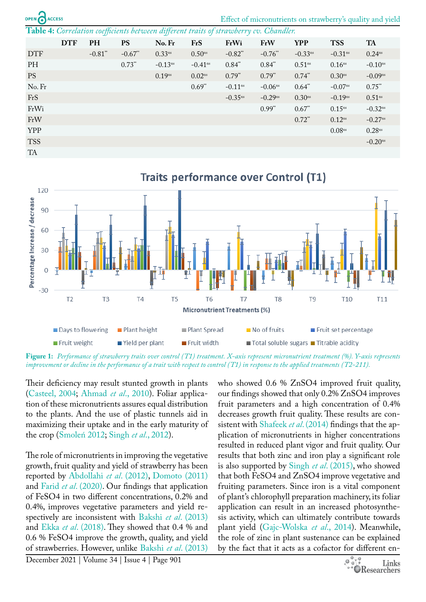|  | <b>OPEN ANACCESS</b> |
|--|----------------------|

Effect of micronutrients on strawberry's quality and yield

<span id="page-4-0"></span>**Table 4:** *Correlation coefficients between different traits of strawberry cv. Chandler.*

|            |            | IJ         |           | IJ           |                       |              |                       |                      |                       |                       |
|------------|------------|------------|-----------|--------------|-----------------------|--------------|-----------------------|----------------------|-----------------------|-----------------------|
|            | <b>DTF</b> | PH         | <b>PS</b> | No. Fr       | FrS                   | FrWi         | FrW                   | <b>YPP</b>           | <b>TSS</b>            | <b>TA</b>             |
| <b>DTF</b> |            | $-0.81$ ** | $-0.67**$ | $0.33^{ns}$  | $0.50$ <sup>ns</sup>  | $-0.82**$    | $-0.76$ **            | $-0.33^{ns}$         | $-0.31$ <sup>ns</sup> | $0.24^{ns}$           |
| PH         |            |            | $0.73**$  | $-0.13^{ns}$ | $-0.41$ <sup>ns</sup> | $0.84*$      | $0.84^{**}$           | $0.51$ <sup>ns</sup> | 0.16 <sup>ns</sup>    | $-0.10$ <sup>ns</sup> |
| <b>PS</b>  |            |            |           | $0.19^{ns}$  | $0.02^{ns}$           | $0.79^{*}$   | $0.79^{*}$            | $0.74^{*}$           | $0.30^{ns}$           | $-0.09^{ns}$          |
| No. Fr     |            |            |           |              | $0.69^{**}$           | $-0.11^{ns}$ | $-0.06$ <sup>ns</sup> | $0.64$ **            | $-0.07^{ns}$          | $0.75$ **             |
| FrS        |            |            |           |              |                       | $-0.35^{ns}$ | $-0.29^{ns}$          | $0.30^{ns}$          | $-0.19^{ns}$          | $0.51$ <sup>ns</sup>  |
| FrWi       |            |            |           |              |                       |              | $0.99^{**}$           | $0.67$ **            | $0.15^{ns}$           | $-0.32$ <sup>ns</sup> |
| FrW        |            |            |           |              |                       |              |                       | $0.72$ **            | $0.12^{ns}$           | $-0.27$ <sup>ns</sup> |
| <b>YPP</b> |            |            |           |              |                       |              |                       |                      | $0.08$ ns             | $0.28^{ns}$           |
| <b>TSS</b> |            |            |           |              |                       |              |                       |                      |                       | $-0.20$ <sup>ns</sup> |
| <b>TA</b>  |            |            |           |              |                       |              |                       |                      |                       |                       |



<span id="page-4-1"></span>**Figure 1:** *Performance of strawberry traits over control (T1) treatment. X-axis represent micronutrient treatment (%). Y-axis represents improvement or decline in the performance of a trait with respect to control (T1) in response to the applied treatments (T2-211).*

Their deficiency may result stunted growth in plants ([Casteel, 2004](#page-6-11); [Ahmad](#page-5-4) *et al*., 2010). Foliar application of these micronutrients assures equal distribution to the plants. And the use of plastic tunnels aid in maximizing their uptake and in the early maturity of the crop (Smoleń 2012; [Singh](#page-7-0) *et al*., 2012).

The role of micronutrients in improving the vegetative growth, fruit quality and yield of strawberry has been reported by [Abdollahi](#page-5-2) *et al*. (2012), [Domoto \(2011\)](#page-6-12) and Farid *et al*[. \(2020\)](#page-6-13). Our findings that application of FeSO4 in two different concentrations, 0.2% and 0.4%, improves vegetative parameters and yield respectively are inconsistent with Bakshi *et al*[. \(2013\)](#page-5-5) and Ekka *et al*[. \(2018\).](#page-6-14) They showed that 0.4 % and 0.6 % FeSO4 improve the growth, quality, and yield of strawberries. However, unlike Bakshi *et al*[. \(2013\)](#page-5-5) 

who showed 0.6 % ZnSO4 improved fruit quality, our findings showed that only 0.2% ZnSO4 improves fruit parameters and a high concentration of 0.4% decreases growth fruit quality. These results are consistent with [Shafeek](#page-6-15) *et al*. (2014) findings that the application of micronutrients in higher concentrations resulted in reduced plant vigor and fruit quality. Our results that both zinc and iron play a significant role is also supported by Singh *et al*[. \(2015\)](#page-7-0), who showed that both FeSO4 and ZnSO4 improve vegetative and fruiting parameters. Since iron is a vital component of plant's chlorophyll preparation machinery, its foliar application can result in an increased photosynthesis activity, which can ultimately contribute towards plant yield (Gajc-Wolska *et al*., 2014). Meanwhile, the role of zinc in plant sustenance can be explained by the fact that it acts as a cofactor for different en-

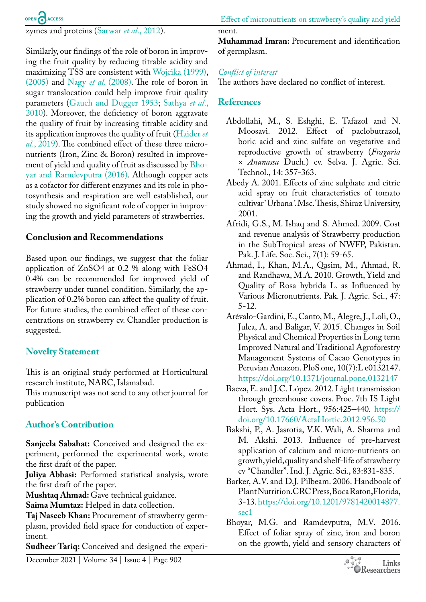

zymes and proteins ([Sarwar](#page-6-16) *et al*., 2012).

Similarly, our findings of the role of boron in improving the fruit quality by reducing titrable acidity and maximizing TSS are consistent with [Wojcika \(1999\)](#page-7-2), [\(2005\)](#page-7-3) and Nagy *et al*. (2008). The role of boron in sugar translocation could help improve fruit quality parameters ([Gauch and Dugger 1953](#page-6-17); [Sathya](#page-6-18) *et al*., [2010](#page-6-18)). Moreover, the deficiency of boron aggravate the quality of fruit by increasing titrable acidity and its application improves the quality of fruit ([Haider](#page-6-19) *et al*[., 2019](#page-6-19)). The combined effect of these three micronutrients (Iron, Zinc & Boron) resulted in improvement of yield and quality of fruit as discussed by [Bho](#page-5-6)[yar and Ramdevputra \(2016\)](#page-5-6). Although copper acts as a cofactor for different enzymes and its role in photosynthesis and respiration are well established, our study showed no significant role of copper in improving the growth and yield parameters of strawberries.

#### **Conclusion and Recommendations**

Based upon our findings, we suggest that the foliar application of ZnSO4 at 0.2 % along with FeSO4 0.4% can be recommended for improved yield of strawberry under tunnel condition. Similarly, the application of 0.2% boron can affect the quality of fruit. For future studies, the combined effect of these concentrations on strawberry cv. Chandler production is suggested.

### **Novelty Statement**

This is an original study performed at Horticultural research institute, NARC, Islamabad.

This manuscript was not send to any other journal for publication

#### **Author's Contribution**

**Sanjeela Sabahat:** Conceived and designed the experiment, performed the experimental work, wrote the first draft of the paper.

**Juliya Abbasi:** Performed statistical analysis, wrote the first draft of the paper.

**Mushtaq Ahmad:** Gave technical guidance.

**Saima Mumtaz:** Helped in data collection.

**Taj Naseeb Khan:** Procurement of strawberry germplasm, provided field space for conduction of experiment.

**Sudheer Tariq:** Conceived and designed the experi-

#### ment.

**Muhammad Imran:** Procurement and identification of germplasm.

#### *Conflict of interest*

The authors have declared no conflict of interest.

#### **References**

- <span id="page-5-2"></span>Abdollahi, M., S. Eshghi, E. Tafazol and N. Moosavi. 2012. Effect of paclobutrazol, boric acid and zinc sulfate on vegetative and reproductive growth of strawberry (*Fragaria* × *Ananassa* Duch.) cv. Selva. J. Agric. Sci. Technol., 14: 357-363.
- <span id="page-5-1"></span>Abedy A. 2001. Effects of zinc sulphate and citric acid spray on fruit characteristics of tomato cultivar ̔ Urbana ̕. Msc. Thesis, Shiraz University, 2001.
- <span id="page-5-0"></span>Afridi, G.S., M. Ishaq and S. Ahmed. 2009. Cost and revenue analysis of Strawberry production in the SubTropical areas of NWFP, Pakistan. Pak. J. Life. Soc. Sci., 7(1): 59-65.
- <span id="page-5-4"></span>Ahmad, I., Khan, M.A., Qasim, M., Ahmad, R. and Randhawa, M.A. 2010. Growth, Yield and Quality of Rosa hybrida L. as Influenced by Various Micronutrients. Pak. J. Agric. Sci., 47: 5-12.
- Arévalo-Gardini, E., Canto, M., Alegre, J., Loli, O., Julca, A. and Baligar, V. 2015. Changes in Soil Physical and Chemical Properties in Long term Improved Natural and Traditional Agroforestry Management Systems of Cacao Genotypes in Peruvian Amazon. PloS one, 10(7):L e0132147. <https://doi.org/10.1371/journal.pone.0132147>
- Baeza, E. and J.C. López. 2012. Light transmission through greenhouse covers. Proc. 7th IS Light Hort. Sys. Acta Hort., 956:425–440. [https://](https://doi.org/10.17660/ActaHortic.2012.956.50) [doi.org/10.17660/ActaHortic.2012.956.50](https://doi.org/10.17660/ActaHortic.2012.956.50)
- <span id="page-5-5"></span>Bakshi, P., A. Jasrotia, V.K. Wali, A. Sharma and M. Akshi. 2013. Influence of pre-harvest application of calcium and micro-nutrients on growth, yield, quality and shelf-life of strawberry cv "Chandler". Ind. J. Agric. Sci., 83:831-835.
- <span id="page-5-3"></span>Barker, A.V. and D.J. Pilbeam. 2006. Handbook of Plant Nutrition. CRC Press, Boca Raton, Florida, 3-13. [https://doi.org/10.1201/9781420014877.](https://doi.org/10.1201/9781420014877.sec1) [sec1](https://doi.org/10.1201/9781420014877.sec1)
- <span id="page-5-6"></span>Bhoyar, M.G. and Ramdevputra, M.V. 2016. Effect of foliar spray of zinc, iron and boron on the growth, yield and sensory characters of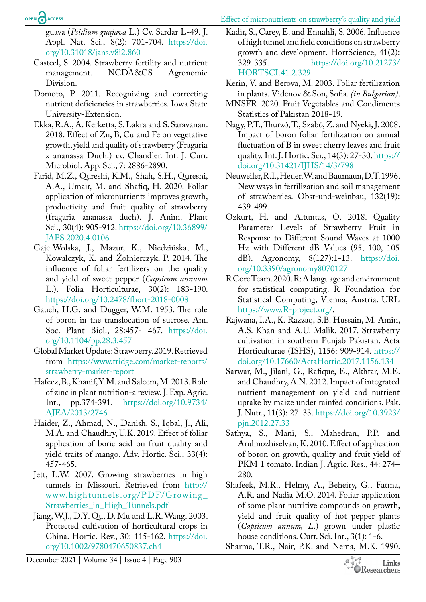guava (*Psidium guajava* L.) Cv. Sardar L-49. J. Appl. Nat. Sci., 8(2): 701-704. [https://doi.](https://doi.org/10.31018/jans.v8i2.860) [org/10.31018/jans.v8i2.860](https://doi.org/10.31018/jans.v8i2.860)

- <span id="page-6-11"></span>Casteel, S. 2004. Strawberry fertility and nutrient management. NCDA&CS Agronomic Division.
- <span id="page-6-12"></span>Domoto, P. 2011. Recognizing and correcting nutrient deficiencies in strawberries. Iowa State University-Extension.
- <span id="page-6-14"></span>Ekka, R.A., A. Kerketta, S. Lakra and S. Saravanan. 2018. Effect of Zn, B, Cu and Fe on vegetative growth, yield and quality of strawberry (Fragaria x ananassa Duch.) cv. Chandler. Int. J. Curr. Microbiol. App. Sci., 7: 2886-2890.
- <span id="page-6-13"></span>Farid, M.Z., Qureshi, K.M., Shah, S.H., Qureshi, A.A., Umair, M. and Shafiq, H. 2020. Foliar application of micronutrients improves growth, productivity and fruit quality of strawberry (fragaria ananassa duch). J. Anim. Plant Sci., 30(4): 905-912. [https://doi.org/10.36899/](https://doi.org/10.36899/JAPS.2020.4.0106) [JAPS.2020.4.0106](https://doi.org/10.36899/JAPS.2020.4.0106)
- Gajc-Wolska, J., Mazur, K., Niedzińska, M., Kowalczyk, K. and Żołnierczyk, P. 2014. The influence of foliar fertilizers on the quality and yield of sweet pepper (*Capsicum annuum* L.). Folia Horticulturae, 30(2): 183-190. <https://doi.org/10.2478/fhort-2018-0008>
- <span id="page-6-17"></span>Gauch, H.G. and Dugger, W.M. 1953. The role of boron in the translocation of sucrose. Am. Soc. Plant Biol., 28:457- 467. [https://doi.](https://doi.org/10.1104/pp.28.3.457) [org/10.1104/pp.28.3.457](https://doi.org/10.1104/pp.28.3.457)
- <span id="page-6-0"></span>Global Market Update: Strawberry. 2019. Retrieved from [https://www.tridge.com/market-reports/](https://www.tridge.com/market-reports/strawberry-market-report) [strawberry-market-report](https://www.tridge.com/market-reports/strawberry-market-report)
- Hafeez, B., Khanif, Y.M. and Saleem, M. 2013. Role of zinc in plant nutrition-a review. J. Exp. Agric. Int., pp.374-391. [https://doi.org/10.9734/](https://doi.org/10.9734/AJEA/2013/2746) [AJEA/2013/2746](https://doi.org/10.9734/AJEA/2013/2746)
- <span id="page-6-19"></span>Haider, Z., Ahmad, N., Danish, S., Iqbal, J., Ali, M.A. and Chaudhry, U.K. 2019. Effect of foliar application of boric acid on fruit quality and yield traits of mango. Adv. Hortic. Sci., 33(4): 457-465.
- <span id="page-6-8"></span>Jett, L.W. 2007. Growing strawberries in high tunnels in Missouri. Retrieved from [http://](http://www.hightunnels.org/PDF/Growing_Strawberries_in_High_Tunnels.pdf) [www.hightunnels.org/PDF/Growing\\_](http://www.hightunnels.org/PDF/Growing_Strawberries_in_High_Tunnels.pdf) [Strawberries\\_in\\_High\\_Tunnels.pdf](http://www.hightunnels.org/PDF/Growing_Strawberries_in_High_Tunnels.pdf)
- <span id="page-6-7"></span>Jiang, W.J., D.Y. Qu, D. Mu and L.R. Wang. 2003. Protected cultivation of horticultural crops in China. Hortic. Rev., 30: 115-162. [https://doi.](https://doi.org/10.1002/9780470650837.ch4) [org/10.1002/9780470650837.ch4](https://doi.org/10.1002/9780470650837.ch4)
- <span id="page-6-3"></span>Kadir, S., Carey, E. and Ennahli, S. 2006. Influence of high tunnel and field conditions on strawberry growth and development. HortScience, 41(2): 329-335. [https://doi.org/10.21273/](https://doi.org/10.21273/HORTSCI.41.2.329) [HORTSCI.41.2.329](https://doi.org/10.21273/HORTSCI.41.2.329)
- <span id="page-6-5"></span>Kerin, V. and Berova, M. 2003. Foliar fertilization in plants. Videnov & Son, Sofia. *(in Bulgarian)*.
- <span id="page-6-1"></span>MNSFR. 2020. Fruit Vegetables and Condiments Statistics of Pakistan 2018-19.
- Nagy, P.T., Thurzó, T., Szabó, Z. and Nyéki, J. 2008. Impact of boron foliar fertilization on annual fluctuation of B in sweet cherry leaves and fruit quality. Int. J. Hortic. Sci., 14(3): 27-30. [https://](https://doi.org/10.31421/IJHS/14/3/798) [doi.org/10.31421/IJHS/14/3/798](https://doi.org/10.31421/IJHS/14/3/798)
- <span id="page-6-4"></span>Neuweiler, R.I., Heuer, W. and Baumaun, D.T. 1996. New ways in fertilization and soil management of strawberries. Obst-und-weinbau, 132(19): 439-499.
- <span id="page-6-9"></span>Ozkurt, H. and Altuntas, O. 2018. Quality Parameter Levels of Strawberry Fruit in Response to Different Sound Waves at 1000 Hz with Different dB Values (95, 100, 105 dB). Agronomy, 8(127):1-13. [https://doi.](https://doi.org/10.3390/agronomy8070127) [org/10.3390/agronomy8070127](https://doi.org/10.3390/agronomy8070127)
- <span id="page-6-10"></span>R Core Team. 2020. R: A language and environment for statistical computing. R Foundation for Statistical Computing, Vienna, Austria. URL [https://www.R-project.org/.](https://www.R-project.org/)
- <span id="page-6-2"></span>Rajwana, I.A., K. Razzaq, S.B. Hussain, M. Amin, A.S. Khan and A.U. Malik. 2017. Strawberry cultivation in southern Punjab Pakistan. Acta Horticulturae (ISHS), 1156: 909-914. [https://](https://doi.org/10.17660/ActaHortic.2017.1156.134) [doi.org/10.17660/ActaHortic.2017.1156.134](https://doi.org/10.17660/ActaHortic.2017.1156.134)
- <span id="page-6-16"></span>Sarwar, M., Jilani, G., Rafique, E., Akhtar, M.E. and Chaudhry, A.N. 2012. Impact of integrated nutrient management on yield and nutrient uptake by maize under rainfed conditions. Pak. J. Nutr., 11(3): 27–33. [https://doi.org/10.3923/](https://doi.org/10.3923/pjn.2012.27.33) [pjn.2012.27.33](https://doi.org/10.3923/pjn.2012.27.33)
- <span id="page-6-18"></span>Sathya, S., Mani, S., Mahedran, P.P. and Arulmozhiselvan, K. 2010. Effect of application of boron on growth, quality and fruit yield of PKM 1 tomato. Indian J. Agric. Res., 44: 274– 280.
- <span id="page-6-15"></span>Shafeek, M.R., Helmy, A., Beheiry, G., Fatma, A.R. and Nadia M.O. 2014. Foliar application of some plant nutritive compounds on growth, yield and fruit quality of hot pepper plants (*Capsicum annum, L*.) grown under plastic house conditions. Curr. Sci. Int., 3(1): 1-6.
- <span id="page-6-6"></span>Sharma, T.R., Nair, P.K. and Nema, M.K. 1990.